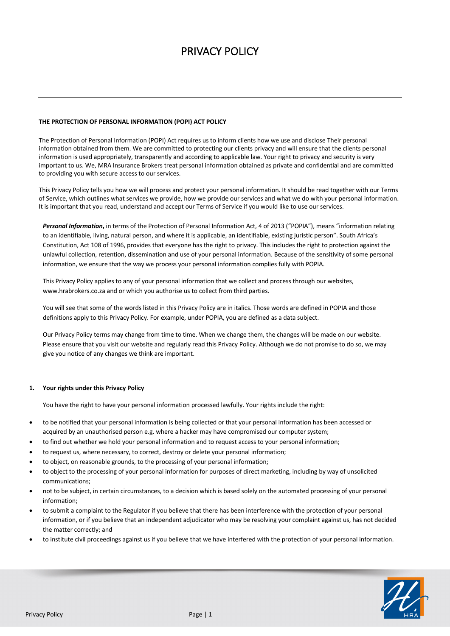# PRIVACY POLICY

## **THE PROTECTION OF PERSONAL INFORMATION (POPI) ACT POLICY**

The Protection of Personal Information (POPI) Act requires us to inform clients how we use and disclose Their personal information obtained from them. We are committed to protecting our clients privacy and will ensure that the clients personal information is used appropriately, transparently and according to applicable law. Your right to privacy and security is very important to us. We, MRA Insurance Brokers treat personal information obtained as private and confidential and are committed to providing you with secure access to our services.

This Privacy Policy tells you how we will process and protect your personal information. It should be read together with our Terms of Service, which outlines what services we provide, how we provide our services and what we do with your personal information. It is important that you read, understand and accept our Terms of Service if you would like to use our services.

*Personal Information***,** in terms of the Protection of Personal Information Act, 4 of 2013 ("POPIA"), means "information relating to an identifiable, living, natural person, and where it is applicable, an identifiable, existing juristic person". South Africa's Constitution, Act 108 of 1996, provides that everyone has the right to privacy. This includes the right to protection against the unlawful collection, retention, dissemination and use of your personal information. Because of the sensitivity of some personal information, we ensure that the way we process your personal information complies fully with POPIA.

This Privacy Policy applies to any of your personal information that we collect and process through our websites, www.hrabrokers.co.za and or which you authorise us to collect from third parties.

You will see that some of the words listed in this Privacy Policy are in italics. Those words are defined in POPIA and those definitions apply to this Privacy Policy. For example, under POPIA, you are defined as a data subject.

Our Privacy Policy terms may change from time to time. When we change them, the changes will be made on our website. Please ensure that you visit our website and regularly read this Privacy Policy. Although we do not promise to do so, we may give you notice of any changes we think are important.

#### **1. Your rights under this Privacy Policy**

You have the right to have your personal information processed lawfully. Your rights include the right:

- to be notified that your personal information is being collected or that your personal information has been accessed or acquired by an unauthorised person e.g. where a hacker may have compromised our computer system;
- to find out whether we hold your personal information and to request access to your personal information;
- to request us, where necessary, to correct, destroy or delete your personal information;
- to object, on reasonable grounds, to the processing of your personal information;
- to object to the processing of your personal information for purposes of direct marketing, including by way of unsolicited communications;
- not to be subject, in certain circumstances, to a decision which is based solely on the automated processing of your personal information;
- to submit a complaint to the Regulator if you believe that there has been interference with the protection of your personal information, or if you believe that an independent adjudicator who may be resolving your complaint against us, has not decided the matter correctly; and
- to institute civil proceedings against us if you believe that we have interfered with the protection of your personal information.

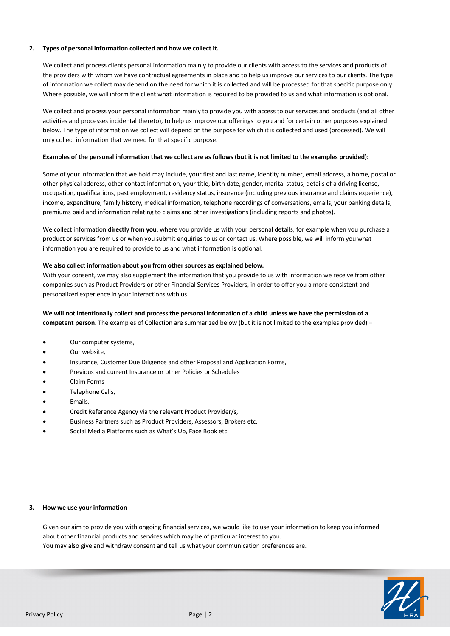# **2. Types of personal information collected and how we collect it.**

We collect and process clients personal information mainly to provide our clients with access to the services and products of the providers with whom we have contractual agreements in place and to help us improve our services to our clients. The type of information we collect may depend on the need for which it is collected and will be processed for that specific purpose only. Where possible, we will inform the client what information is required to be provided to us and what information is optional.

We collect and process your personal information mainly to provide you with access to our services and products (and all other activities and processes incidental thereto), to help us improve our offerings to you and for certain other purposes explained below. The type of information we collect will depend on the purpose for which it is collected and used (processed). We will only collect information that we need for that specific purpose.

## **Examples of the personal information that we collect are as follows (but it is not limited to the examples provided):**

Some of your information that we hold may include, your first and last name, identity number, email address, a home, postal or other physical address, other contact information, your title, birth date, gender, marital status, details of a driving license, occupation, qualifications, past employment, residency status, insurance (including previous insurance and claims experience), income, expenditure, family history, medical information, telephone recordings of conversations, emails, your banking details, premiums paid and information relating to claims and other investigations (including reports and photos).

We collect information **directly from you**, where you provide us with your personal details, for example when you purchase a product or services from us or when you submit enquiries to us or contact us. Where possible, we will inform you what information you are required to provide to us and what information is optional.

#### **We also collect information about you from other sources as explained below.**

With your consent, we may also supplement the information that you provide to us with information we receive from other companies such as Product Providers or other Financial Services Providers, in order to offer you a more consistent and personalized experience in your interactions with us.

# **We will not intentionally collect and process the personal information of a child unless we have the permission of a competent person**. The examples of Collection are summarized below (but it is not limited to the examples provided) –

- Our computer systems,
- Our website,
- Insurance, Customer Due Diligence and other Proposal and Application Forms,
- Previous and current Insurance or other Policies or Schedules
- Claim Forms
- Telephone Calls,
- Emails,
- Credit Reference Agency via the relevant Product Provider/s,
- Business Partners such as Product Providers, Assessors, Brokers etc.
- Social Media Platforms such as What's Up, Face Book etc.

#### **3. How we use your information**

Given our aim to provide you with ongoing financial services, we would like to use your information to keep you informed about other financial products and services which may be of particular interest to you. You may also give and withdraw consent and tell us what your communication preferences are.

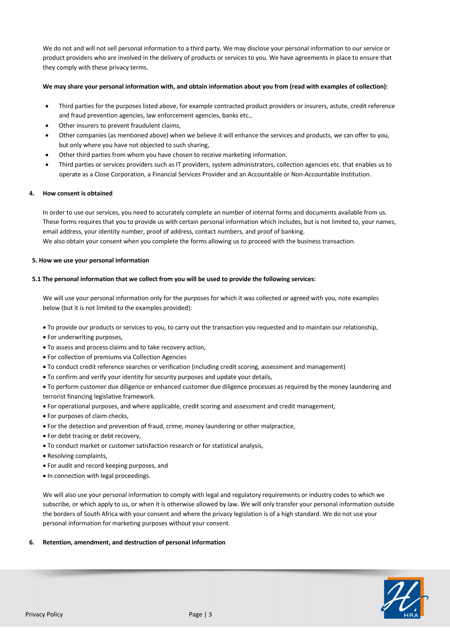We do not and will not sell personal information to a third party. We may disclose your personal information to our service or product providers who are involved in the delivery of products or services to you. We have agreements in place to ensure that they comply with these privacy terms.

#### **We may share your personal information with, and obtain information about you from (read with examples of collection):**

- Third parties for the purposes listed above, for example contracted product providers or insurers, astute, credit reference and fraud prevention agencies, law enforcement agencies, banks etc.,
- Other insurers to prevent fraudulent claims,
- Other companies (as mentioned above) when we believe it will enhance the services and products, we can offer to you, but only where you have not objected to such sharing,
- Other third parties from whom you have chosen to receive marketing information.
- Third parties or services providers such as IT providers, system administrators, collection agencies etc. that enables us to operate as a Close Corporation, a Financial Services Provider and an Accountable or Non-Accountable Institution.

## **4. How consent is obtained**

In order to use our services, you need to accurately complete an number of internal forms and documents available from us. These forms requires that you to provide us with certain personal information which includes, but is not limited to, your names, email address, your identity number, proof of address, contact numbers, and proof of banking. We also obtain your consent when you complete the forms allowing us to proceed with the business transaction.

#### **5. How we use your personal information**

## **5.1 The personal information that we collect from you will be used to provide the following services:**

We will use your personal information only for the purposes for which it was collected or agreed with you, note examples below (but it is not limited to the examples provided):

- To provide our products or services to you, to carry out the transaction you requested and to maintain our relationship,
- For underwriting purposes,
- To assess and process claims and to take recovery action,
- For collection of premiums via Collection Agencies
- To conduct credit reference searches or verification (including credit scoring, assessment and management)
- To confirm and verify your identity for security purposes and update your details,
- To perform customer due diligence or enhanced customer due diligence processes as required by the money laundering and terrorist financing legislative framework.
- For operational purposes, and where applicable, credit scoring and assessment and credit management,
- For purposes of claim checks,
- For the detection and prevention of fraud, crime, money laundering or other malpractice,
- For debt tracing or debt recovery,
- To conduct market or customer satisfaction research or for statistical analysis,
- Resolving complaints,
- For audit and record keeping purposes, and
- In connection with legal proceedings.

We will also use your personal information to comply with legal and regulatory requirements or industry codes to which we subscribe, or which apply to us, or when it is otherwise allowed by law. We will only transfer your personal information outside the borders of South Africa with your consent and where the privacy legislation is of a high standard. We do not use your personal information for marketing purposes without your consent.

#### **6. Retention, amendment, and destruction of personal information**

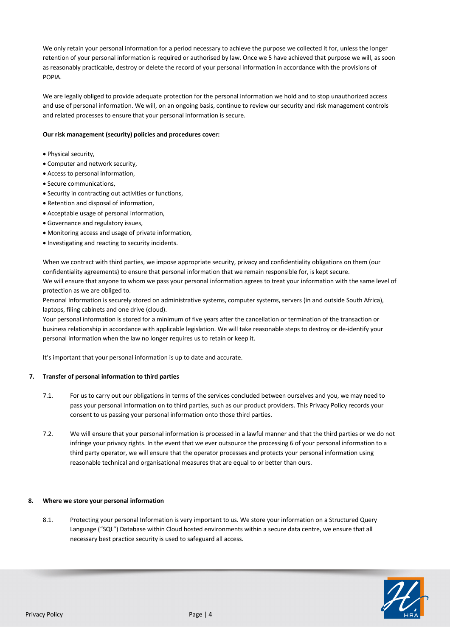We only retain your personal information for a period necessary to achieve the purpose we collected it for, unless the longer retention of your personal information is required or authorised by law. Once we 5 have achieved that purpose we will, as soon as reasonably practicable, destroy or delete the record of your personal information in accordance with the provisions of POPIA.

We are legally obliged to provide adequate protection for the personal information we hold and to stop unauthorized access and use of personal information. We will, on an ongoing basis, continue to review our security and risk management controls and related processes to ensure that your personal information is secure.

## **Our risk management (security) policies and procedures cover:**

- Physical security,
- Computer and network security,
- Access to personal information,
- Secure communications,
- Security in contracting out activities or functions,
- Retention and disposal of information,
- Acceptable usage of personal information,
- Governance and regulatory issues,
- Monitoring access and usage of private information,
- Investigating and reacting to security incidents.

When we contract with third parties, we impose appropriate security, privacy and confidentiality obligations on them (our confidentiality agreements) to ensure that personal information that we remain responsible for, is kept secure. We will ensure that anyone to whom we pass your personal information agrees to treat your information with the same level of protection as we are obliged to.

Personal Information is securely stored on administrative systems, computer systems, servers (in and outside South Africa), laptops, filing cabinets and one drive (cloud).

Your personal information is stored for a minimum of five years after the cancellation or termination of the transaction or business relationship in accordance with applicable legislation. We will take reasonable steps to destroy or de-identify your personal information when the law no longer requires us to retain or keep it.

It's important that your personal information is up to date and accurate.

#### **7. Transfer of personal information to third parties**

- 7.1. For us to carry out our obligations in terms of the services concluded between ourselves and you, we may need to pass your personal information on to third parties, such as our product providers. This Privacy Policy records your consent to us passing your personal information onto those third parties.
- 7.2. We will ensure that your personal information is processed in a lawful manner and that the third parties or we do not infringe your privacy rights. In the event that we ever outsource the processing 6 of your personal information to a third party operator, we will ensure that the operator processes and protects your personal information using reasonable technical and organisational measures that are equal to or better than ours.

#### **8. Where we store your personal information**

8.1. Protecting your personal Information is very important to us. We store your information on a Structured Query Language ("SQL") Database within Cloud hosted environments within a secure data centre, we ensure that all necessary best practice security is used to safeguard all access.

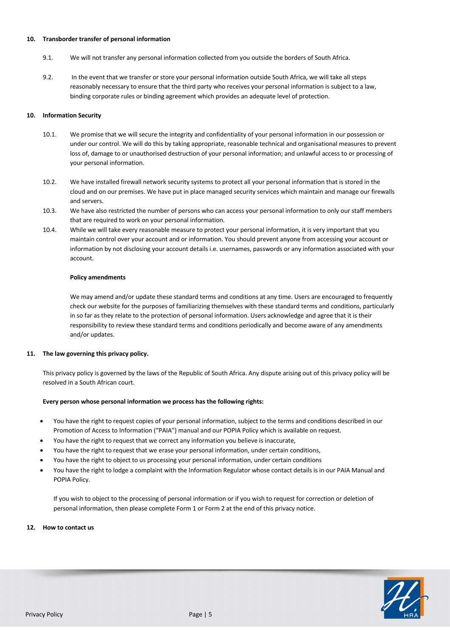#### **10. Transborder transfer of personal information**

- 9.1. We will not transfer any personal information collected from you outside the borders of South Africa.
- 9.2. In the event that we transfer or store your personal information outside South Africa, we will take all steps reasonably necessary to ensure that the third party who receives your personal information is subject to a law, binding corporate rules or binding agreement which provides an adequate level of protection.

## **10. Information Security**

- 10.1. We promise that we will secure the integrity and confidentiality of your personal information in our possession or under our control. We will do this by taking appropriate, reasonable technical and organisational measures to prevent loss of, damage to or unauthorised destruction of your personal information; and unlawful access to or processing of your personal information.
- 10.2. We have installed firewall network security systems to protect all your personal information that is stored in the cloud and on our premises. We have put in place managed security services which maintain and manage our firewalls and servers.
- 10.3. We have also restricted the number of persons who can access your personal information to only our staff members that are required to work on your personal information.
- 10.4. While we will take every reasonable measure to protect your personal information, it is very important that you maintain control over your account and or information. You should prevent anyone from accessing your account or information by not disclosing your account details i.e. usernames, passwords or any information associated with your account.

#### **Policy amendments**

We may amend and/or update these standard terms and conditions at any time. Users are encouraged to frequently check our website for the purposes of familiarizing themselves with these standard terms and conditions, particularly in so far as they relate to the protection of personal information. Users acknowledge and agree that it is their responsibility to review these standard terms and conditions periodically and become aware of any amendments and/or updates.

# **11. The law governing this privacy policy.**

This privacy policy is governed by the laws of the Republic of South Africa. Any dispute arising out of this privacy policy will be resolved in a South African court.

#### **Every person whose personal information we process has the following rights:**

- You have the right to request copies of your personal information, subject to the terms and conditions described in our Promotion of Access to Information ("PAIA") manual and our POPIA Policy which is available on request.
- You have the right to request that we correct any information you believe is inaccurate,
- You have the right to request that we erase your personal information, under certain conditions,
- You have the right to object to us processing your personal information, under certain conditions
- You have the right to lodge a complaint with the Information Regulator whose contact details is in our PAIA Manual and POPIA Policy.

If you wish to object to the processing of personal information or if you wish to request for correction or deletion of personal information, then please complete Form 1 or Form 2 at the end of this privacy notice.

#### **12. How to contact us**